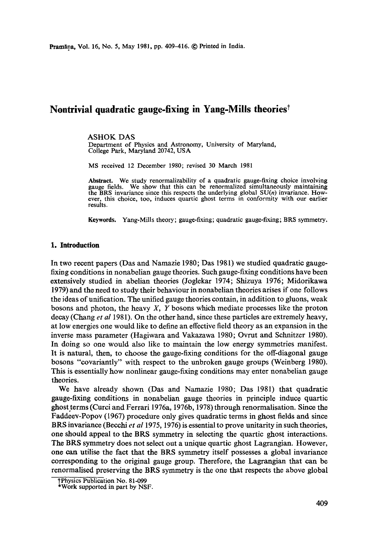# **Nontrivial quadratic gauge-fixing in Yang-Mills theories~**

#### ASHOK DAS

Department of Physics and Astronomy, University of Maryland, College Park, Maryland 20742, USA

MS received 12 December 1980; revised 30 March 1981

**Abstract.** We study renormalizability of a quadratic gauge-fixing choice involving gauge fields. We show that this can be renormalized simultaneously maintaining the BRS invariance since this respects the underlying global  $SU(n)$  invariance. However, this choice, too, induces quartic ghost terms in conformity with our earlier results.

Keywords. Yang-Mills theory; gauge-fixing; quadratic gauge-fixing; BRS symmetry.

#### **1. Introduction**

In two recent papers (Das and Namazie 1980; Das 1981) we studied quadratic gaugefixing conditions in nonabelian gauge theories. Such gauge-fixing conditions have been extensively studied in abelian theories (Joglekar 1974; Shizuya 1976; Midorikawa 1979) and the need to study their behaviour in nonabelian theories arises if one follows the ideas of unification. The unified gauge theories contain, in addition to gluons, weak bosons and photon, the heavy  $X$ ,  $Y$  bosons which mediate processes like the proton decay (Chang *et al* 1981). On the other hand, since these particles are extremely heavy, at low energies one would like to define an effective field theory as an expansion in the inverse mass parameter (Hagiwara and Vakazawa 1980; Ovrut and Schnitzer 1980). In doing so one would also like to maintain the low energy symmetries manifest. It is natural, then, to choose the gauge-fixing conditions for the off-diagonal gauge bosons "covariantly" with respect to the unbroken gauge groups (Weinberg 1980). This is essentially how nonlinear gauge-fixing conditions may enter nonabelian gauge theories.

We have already shown (Das and Namazie 1980; Das 1981) that quadratic gauge-fixing conditions in nonabelian gauge theories in principle induce quartic ghostterms (Curci and Ferrari 1976a, 1976b, 1978) through renormalisation. Since the Faddeev-Popov (1967) procedure only gives quadratic terms in ghost fields and since BRS invariance (Becehi *et al* 1975, 1976) is essential to prove unitarity in such theories, one should appeal to the BRS symmetry in selecting the quartic ghost interactions. The BRS symmetry does not select out a unique quartic ghost Lagrangian. However, one can utilise the fact that the BRS symmetry itself possesses a global invariance corresponding to the original gauge group. Therefore, the Lagrangian that can be renormalised preserving the BRS symmetry is the one that respects the above global

Physics Publication No. 81-099

<sup>\*</sup>Work supported in part by NSF.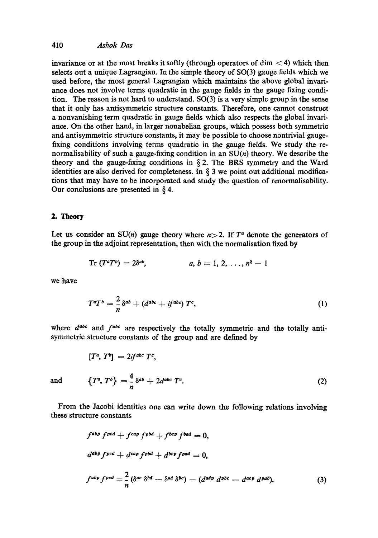invariance or at the most breaks it softly (through operators of dim  $\langle 4 \rangle$  which then selects out a unique Lagrangian. In the simple theory of  $SO(3)$  gauge fields which we used before, the most general Lagrangian which maintains the above global invariance does not involve terms quadratic in the gauge fields in the gauge fixing condition. The reason is not hard to understand. SO(3) is a very simple group in the sense that it only has antisymmetric structure constants. Therefore, one cannot construct a nonvanishing term quadratic in gauge fields which also respects the global invariante. On the other hand, in larger nonabelian groups, which possess both symmetric and antisymmetric structure constants, it may be possible to choose nontrivial gaugefixing conditions involving terms quadratic in the gauge fields. We study the renormalisability of such a gauge-fixing condition in an  $SU(n)$  theory. We describe the theory and the gauge-fixing conditions in  $\S$  2. The BRS symmetry and the Ward identities are also derived for completeness. In  $\S$  3 we point out additional modifications that may have to be incorporated and study the question of renorrnalisability. Our conclusions are presented in  $\S$  4.

## **2. Theory**

Let us consider an SU(n) gauge theory where  $n>2$ . If  $T<sup>a</sup>$  denote the generators of the group in the adjoint representation, then with the normalisation fixed by

$$
Tr (T^a T^b) = 2\delta^{ab}, \qquad a, b = 1, 2, ..., n^2 - 1
$$

we have

$$
T^{a}T^{b} = \frac{2}{n}\delta^{ab} + (d^{abc} + if^{abc})T^{c}, \qquad (1)
$$

where  $d^{abc}$  and  $f^{abc}$  are respectively the totally symmetric and the totally antisymmetric structure constants of the group and are defined by

$$
[T^a, T^b] = 2if^{abc} T^c,
$$
  
and 
$$
\{T^a, T^b\} = \frac{4}{n} \delta^{ab} + 2d^{abc} T^c.
$$
 (2)

From the Jaeobi identities one can write down the following relations involving these structure constants

$$
f^{abp} f^{pcd} + f^{cap} f^{pbd} + f^{bcp} f^{bad} = 0,
$$
  
\n
$$
d^{abp} f^{pcd} + d^{cap} f^{pbd} + d^{bcp} f^{pad} = 0,
$$
  
\n
$$
f^{abp} f^{pcd} = \frac{2}{n} (\delta^{ac} \delta^{bd} - \delta^{ad} \delta^{bc}) - (d^{adp} d^{pbc} - d^{acp} d^{pdb}).
$$
\n(3)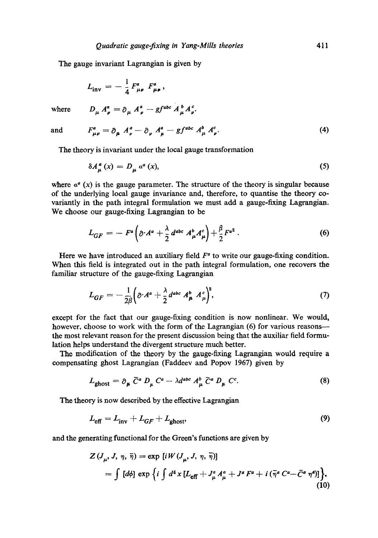The gauge invariant Lagrangian is given by

 $D_{\mu} A_{\nu}^{a} = \partial_{\mu} A_{\nu}^{a} - gf^{abc} A_{\mu}^{b} A_{\nu}^{c}$ 

$$
L_{\text{inv}} = -\frac{1}{4} F^a_{\mu\nu} F^a_{\mu\nu},
$$

where

and 
$$
F_{\mu\nu}^a = \partial_\mu A_\nu^a - \partial_\nu A_\mu^a - gf^{abc} A_\mu^b A_\nu^c.
$$
 (4)

The theory is invariant under the local gauge transformation

$$
\delta A_{\mu}^{a}(x) = D_{\mu} a^{a}(x), \qquad (5)
$$

where  $\alpha^a$  (x) is the gauge parameter. The structure of the theory is singular because of the underlying local gauge invariance and, therefore, to quantise the theory covariantly in the path integral formulation we must add a gauge-fixing Lagrangian. We choose our gauge-fixing Lagrangian to be

$$
L_{GF} = - F^a \left( \partial \cdot A^a + \frac{\lambda}{2} d^{abc} A^b_\mu A^c_\mu \right) + \frac{\beta}{2} F^{a^2} . \tag{6}
$$

Here we have introduced an auxiliary field  $F^a$  to write our gauge-fixing condition. When this field is integrated out in the path integral formulation, one recovers the familiar structure of the gauge-fixing Lagrangian

$$
L_{GF} = -\frac{1}{2\beta} \left( \partial \cdot A^a + \frac{\lambda}{2} d^{abc} A^b_\mu A^c_\mu \right)^2, \tag{7}
$$

except for the fact that our gauge-fixing condition is now nonlinear. We would, however, choose to work with the form of the Lagrangian (6) for various reasons the most relevant reason for the present discussion being that the auxiliar field formulation helps understand the divergent structure much better.

The modification of the theory by the gauge-fixing Lagrangian would require a compensating ghost Lagrangian (Faddeev and Popov 1967) given by

$$
L_{\text{ghost}} = \partial_{\mu} \bar{C}^a D_{\mu} C^a - \lambda d^{abc} A^b_{\mu} \bar{C}^a D_{\mu} C^c. \tag{8}
$$

The theory is now described by the effective Lagrangian

$$
L_{\text{eff}} = L_{\text{inv}} + L_{GF} + L_{\text{ghost}},\tag{9}
$$

and the generating functional for the Green's functions are given by

$$
Z(J_{\mu}, J, \eta, \overline{\eta}) = \exp\left[iW(J_{\mu}, J, \eta, \overline{\eta})\right]
$$
  
= 
$$
\int [d\phi] \exp\left\{i \int d^4x \left[L_{\text{eff}} + J_{\mu}^a A_{\mu}^a + J^a F^a + i \left(\overline{\eta}^a C^a - \overline{C}^a \eta^a\right)\right]\right\}.
$$
 (10)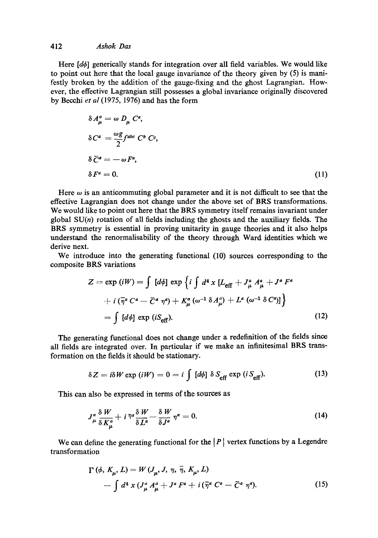Here  $[d\phi]$  generically stands for integration over all field variables. We would like to point out here that the local gauge invariance of the theory given by (5) is manifestly broken by the addition of the gauge-fixing and the ghost Lagrangian. However, the effective Lagrangian still possesses a global invariance originally discovered by Becchi *et al* (1975, 1976) and has the form

$$
\delta A_{\mu}^{a} = \omega D_{\mu} C^{a},
$$
  
\n
$$
\delta C^{a} = \frac{\omega g}{2} f^{abc} C^{b} C^{c},
$$
  
\n
$$
\delta \bar{C}^{a} = -\omega F^{a},
$$
  
\n
$$
\delta F^{a} = 0.
$$
\n(11)

Here  $\omega$  is an anticommuting global parameter and it is not difficult to see that the effective Lagrangian does not change under the above set of BRS transformations. We would like to point out here that the BRS symmetry itself remains invariant under global  $SU(n)$  rotation of all fields including the ghosts and the auxiliary fields. The BRS symmetry is essential in proving unitarity in gauge theories and it also helps understand the renormalisability of the theory through Ward identities which we derive next.

We introduce into the generating functional (10) sources corresponding to the composite BRS variations

$$
Z = \exp(iW) = \int [d\phi] \exp \left\{ i \int d^4 x [L_{\text{eff}} + J^a_\mu A^a_\mu + J^a F^a + i (\overline{\eta}^a C^a - \overline{C}^a \eta^a) + K^a_\mu (\omega^{-1} \delta A^a_\mu) + L^a (\omega^{-1} \delta C^a) \right\}
$$
  
= 
$$
\int [d\phi] \exp (iS_{\text{eff}}).
$$
 (12)

The generating functional does not change under a redefinition of the fields since all fields are integrated over. In particular if we make an infinitesimal BRS transformation on the fields it should be stationary.

$$
\delta Z = i\delta W \exp(iW) = 0 = i \int [d\phi] \delta S_{\text{eff}} \exp(iS_{\text{eff}}). \tag{13}
$$

This can also be expressed in terms of the sources as

$$
J_{\mu}^{a} \frac{\delta W}{\delta K_{\mu}^{a}} + i \eta^{a} \frac{\delta W}{\delta L^{a}} - \frac{\delta W}{\delta J^{a}} \eta^{a} = 0.
$$
 (14)

We can define the generating functional for the  $|P|$  vertex functions by a Legendre transformation

$$
\Gamma (\phi, K_{\mu}, L) = W (J_{\mu}, J, \eta, \bar{\eta}, K_{\mu}, L) \n- \int d^4 x (J_{\mu}^a A_{\mu}^a + J^a F^a + i (\bar{\eta}^a C^a - \bar{C}^a \eta^a).
$$
\n(15)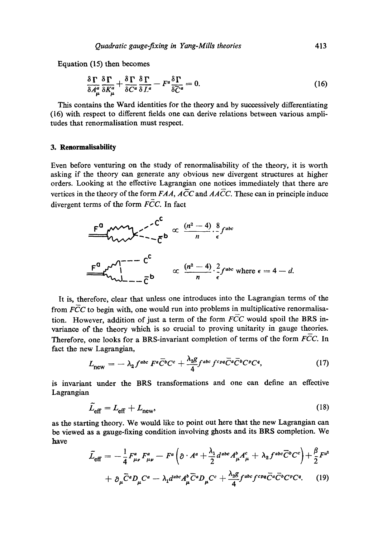Equation (15) then becomes

$$
\frac{\delta \Gamma}{\delta A^a_\mu} \frac{\delta \Gamma}{\delta K^a_\mu} + \frac{\delta \Gamma}{\delta C^a} \frac{\delta \Gamma}{\delta L^a} - F^a \frac{\delta \Gamma}{\delta \overline{C}^a} = 0.
$$
 (16)

This contains the Ward identities for the theory and by successively differentiating (16) with respect to different fields one can derive relations between various amplitudes that renormalisation must respect.

### **3. Renormalisability**

Even before venturing on the study of renormalisability of the theory, it is worth asking if the theory can generate any obvious new divergent structures at higher orders. Looking at the effective Lagrangian one notices immediately that there are vertices in the theory of the form  $FAA$ ,  $\overline{AC}C$  and  $\overline{AAC}C$ . These can in principle induce divergent terms of the form *FCC.* In fact



It is, therefore, clear that unless one introduces into the Lagrangian terms of the from *FCC* to begin with, one would run into problems in multiplicative renormalisation. However, addition of just a term of the form  $F\bar{C}C$  would spoil the BRS invariance of the theory which is so crucial to proving unitarity in gauge theories. Therefore, one looks for a BRS-invariant completion of terms of the form *FCC.* In fact the new Lagrangian,

$$
L_{\text{new}} = -\lambda_2 f^{abc} F^a \overline{C}{}^b C^c + \frac{\lambda_2 g}{4} f^{abc} f^{cpq} \overline{C}{}^a \overline{C}{}^b C^p C^q, \qquad (17)
$$

is invariant under the BRS transformations and one can define an effective Lagrangian

$$
\dot{L}_{\text{eff}} = L_{\text{eff}} + L_{\text{new}},\tag{18}
$$

as the starting theory. We would like to point out here that the new Lagrangian can be viewed as a gauge-fixing condition involving ghosts and its BRS completion. We have

$$
\widetilde{L}_{\text{eff}} = -\frac{1}{4} F_{\mu\nu}^a F_{\mu\nu}^a - F^a \left( \partial \cdot A^a + \frac{\lambda_1}{2} d^{abc} A^b_\mu A^c_\mu + \lambda_2 f^{abc} \overline{C}^b C^c \right) + \frac{\beta}{2} F^{a^2}
$$

$$
+\partial_{\mu}\overline{C}^{a}D_{\mu}C^{a}-\lambda_{1}d^{abc}A_{\mu}^{b}\overline{C}^{a}D_{\mu}C^{c}+\frac{\lambda_{2}g}{4}f^{abc}f^{cpq}\overline{C}^{a}\overline{C}^{b}C^{p}C^{q}.
$$
 (19)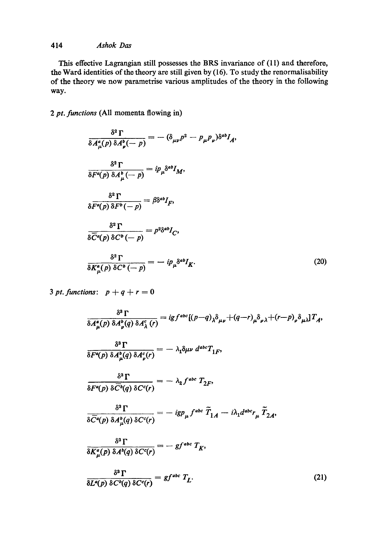This effective Lagrangian still possesses the BRS invariance of (11) and therefore, the Ward identities of the theory are still given by (16). To study the renormalisability of the theory we now parametrise various amplitudes of the theory in the following way.

# *2 pt. functions* (All momenta flowing in)

$$
\frac{\delta^2 \Gamma}{\delta A^a_\mu(p) \delta A^b_\nu(-p)} = -(\delta_{\mu\nu}p^2 - p_\mu p_\nu)\delta^{ab}I_A,
$$
  

$$
\frac{\delta^2 \Gamma}{\delta F^a(p) \delta A^b_\mu(-p)} = ip_\mu\delta^{ab}I_M,
$$
  

$$
\frac{\delta^2 \Gamma}{\delta F^a(p) \delta F^b(-p)} = \beta \delta^{ab}I_F,
$$
  

$$
\frac{\delta^2 \Gamma}{\delta \overline{C}^a(p) \delta C^b(-p)} = p^2 \delta^{ab}I_C,
$$
  

$$
\frac{\delta^2 \Gamma}{\delta \overline{C}^a(p) \delta C^b(-p)} = -ip_\mu\delta^{ab}I_K.
$$
 (20)

3 pt. functions:  $p + q + r = 0$ 

$$
\frac{\delta^3 \Gamma}{\delta A^a_\mu(p) \delta A^b_\mu(q) \delta A^c_\lambda(r)} = ig f^{abc} [(p-q)_{\lambda} \delta_{\mu\nu} + (q-r)_{\mu} \delta_{\nu\lambda} + (r-p)_{\nu} \delta_{\mu\lambda}] T_A,
$$
  

$$
\frac{\delta^3 \Gamma}{\delta F^a(p) \delta A^b_\mu(q) \delta A^c_\nu(r)} = -\lambda_1 \delta \mu \nu \, d^{abc} T_{1F},
$$
  

$$
\frac{\delta^3 \Gamma}{\delta F^a(p) \delta \bar{C}^b(q) \delta C^c(r)} = -\lambda_2 f^{abc} T_{2F},
$$
  

$$
\frac{\delta^3 \Gamma}{\delta \bar{C}^a(p) \delta A^b_\mu(q) \delta C^c(r)} = -ig p_\mu f^{abc} \tilde{T}_{1A} - i \lambda_1 d^{abc} r_\mu \tilde{T}_{2A},
$$
  

$$
\frac{\delta^3 \Gamma}{\delta K^a_\mu(p) \delta A^b(q) \delta C^c(r)} = -gf^{abc} T_K,
$$
  

$$
\frac{\delta^3 \Gamma}{\delta K^a(\mu) \delta C^b(q) \delta C^c(r)} = gf^{abc} T_L.
$$
 (21)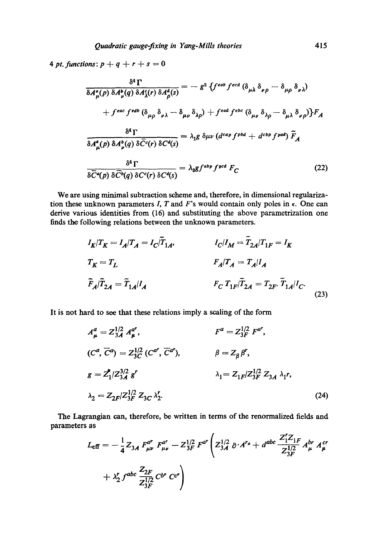4 *pt. functions*:  $p + q + r + s = 0$ 

$$
\frac{\delta^4 \Gamma}{\delta A^a_\mu(p) \delta A^b_\mu(q) \delta A^c_\lambda(r) \delta A^d_\rho(s)} = -g^2 \left\{ f^{eab} f^{ecd} \left( \delta_{\mu\lambda} \delta_{\nu\rho} - \delta_{\mu\rho} \delta_{\nu\lambda} \right) \right.\n\left. + f^{eac} f^{eab} \left( \delta_{\mu\rho} \delta_{\nu\lambda} - \delta_{\mu\nu} \delta_{\lambda\rho} \right) + f^{ead} f^{ebc} \left( \delta_{\mu\nu} \delta_{\lambda\rho} - \delta_{\mu\lambda} \delta_{\nu\rho} \right) \right\} F_A
$$
\n
$$
\frac{\delta^4 \Gamma}{\delta A^a_\mu(p) \delta A^b_\nu(q) \delta \bar{C}^c(r) \delta C^d(s)} = \lambda_1 g \delta \mu \nu \left( d^{cap} f^{pbd} + d^{cbp} f^{pad} \right) \tilde{F}_A
$$
\n
$$
\frac{\delta^4 \Gamma}{\delta \bar{C}^a(p) \delta \bar{C}^b(q) \delta C^c(r) \delta C^d(s)} = \lambda_2 g f^{abp} f^{pcd} F_C
$$
\n(22)

We are using minimal subtraction scheme and, therefore, in dimensional regularization these unknown parameters I, T and F's would contain only poles in  $\epsilon$ . One can derive various identities from (16) and substituting the above parametrization one finds the following relations between the unknown parameters.

$$
I_K/T_K = I_A/T_A = I_C/\tilde{T}_{1A}, \qquad I_C/I_M = \tilde{T}_{2A}/T_{1F} = I_K
$$
  
\n
$$
T_K = T_L \qquad F_A/T_A = T_A/I_A
$$
  
\n
$$
\tilde{F}_A/\tilde{T}_{2A} = \tilde{T}_{1A}/I_A \qquad F_C T_{1F}/\tilde{T}_{2A} = T_{2F} \cdot \tilde{T}_{1A}/I_C.
$$
\n(23)

It is not hard to see that these relations imply a sealing of the form

$$
A_{\mu}^{a} = Z_{3A}^{1/2} A_{\mu}^{a^{r}}, \qquad F^{a} = Z_{3F}^{1/2} F^{a^{r}},
$$
  
\n
$$
(C^{a}, \overline{C}^{a}) = Z_{3C}^{1/2} (C^{a^{r}}, \overline{C}^{a^{r}}), \qquad \beta = Z_{\beta} \beta^{r},
$$
  
\n
$$
g = Z_{1}/Z_{3A}^{3/2} g^{r}, \qquad \lambda_{1} = Z_{1F}/Z_{3F}^{1/2} Z_{3A} \lambda_{1}^{r},
$$
  
\n
$$
\lambda_{2} = Z_{2F}/Z_{3F}^{1/2} Z_{3C} \lambda_{2}^{r}.
$$
  
\n(24)

The Lagrangian can, therefore, be written in terms of the renormalized fields and parameters as

$$
L_{\text{eff}} = -\frac{1}{4} Z_{3A} F_{\mu\nu}^{a^r} F_{\mu\nu}^{a^r} - Z_{3F}^{1/2} F^{a^r} \left( Z_{3A}^{1/2} \partial \cdot A^{r_a} + d^{abc} \frac{Z_1^r Z_{1F}}{Z_{3F}^{1/2}} A_{\mu}^{br} A_{\mu}^{cr} + \lambda_2^r f^{abc} \frac{Z_{2F}}{Z_{3F}^{1/2}} C^{b^r} C^{c^r} \right)
$$